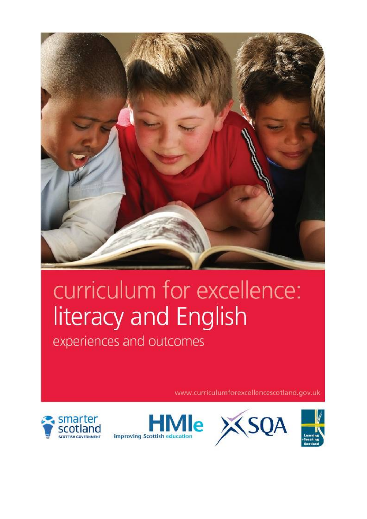

## curriculum for excellence: literacy and English

experiences and outcomes

www.curriculumforexcellencescotland.gov.uk







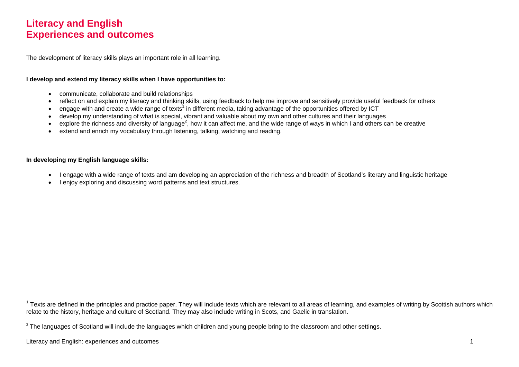## **Literacy and English Experiences and outcomes**

The development of literacy skills plays an important role in all learning.

## **I develop and extend my literacy skills when I have opportunities to:**

- communicate, collaborate and build relationships
- reflect on and explain my literacy and thinking skills, using feedback to help me improve and sensitively provide useful feedback for others
- engage with and create a wide range of texts<sup>1</sup> in different media, taking advantage of the opportunities offered by ICT
- develop my understanding of what is special, vibrant and valuable about my own and other cultures and their languages
- explore the richness and diversity of language<sup>2</sup>, how it can affect me, and the wide range of ways in which I and others can be creative
- extend and enrich my vocabulary through listening, talking, watching and reading.

## **In developing my English language skills:**

- I engage with a wide range of texts and am developing an appreciation of the richness and breadth of Scotland's literary and linguistic heritage
- I enjoy exploring and discussing word patterns and text structures.

 $1$  Texts are defined in the principles and practice paper. They will include texts which are relevant to all areas of learning, and examples of writing by Scottish authors which relate to the history, heritage and culture of Scotland. They may also include writing in Scots, and Gaelic in translation.

 $^2$  The languages of Scotland will include the languages which children and young people bring to the classroom and other settings.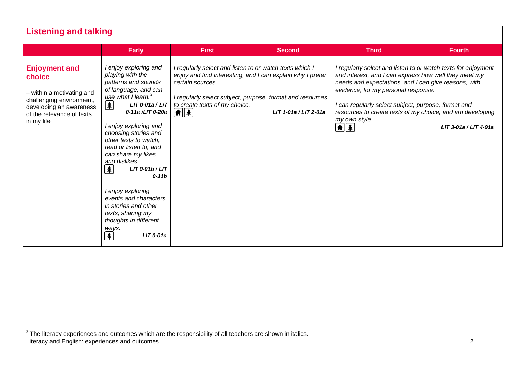| <b>Listening and talking</b>                                                                                                                                  |                                                                                                                                                                                                                                                                                                                                                                                                                                                                                                                                                             |                                                                                             |                                                                                                                                                                                                             |                                                                                                                                                                                                                                                             |                                                                                                                                                     |
|---------------------------------------------------------------------------------------------------------------------------------------------------------------|-------------------------------------------------------------------------------------------------------------------------------------------------------------------------------------------------------------------------------------------------------------------------------------------------------------------------------------------------------------------------------------------------------------------------------------------------------------------------------------------------------------------------------------------------------------|---------------------------------------------------------------------------------------------|-------------------------------------------------------------------------------------------------------------------------------------------------------------------------------------------------------------|-------------------------------------------------------------------------------------------------------------------------------------------------------------------------------------------------------------------------------------------------------------|-----------------------------------------------------------------------------------------------------------------------------------------------------|
|                                                                                                                                                               | <b>Early</b>                                                                                                                                                                                                                                                                                                                                                                                                                                                                                                                                                | <b>First</b>                                                                                | <b>Second</b>                                                                                                                                                                                               | <b>Third</b>                                                                                                                                                                                                                                                | <b>Fourth</b>                                                                                                                                       |
| <b>Enjoyment and</b><br>choice<br>- within a motivating and<br>challenging environment,<br>developing an awareness<br>of the relevance of texts<br>in my life | I enjoy exploring and<br>playing with the<br>patterns and sounds<br>of language, and can<br>use what I learn. <sup>3</sup><br>丰<br>LIT 0-01a / LIT<br>0-11a /LIT 0-20a<br>I enjoy exploring and<br>choosing stories and<br>other texts to watch,<br>read or listen to, and<br>can share my likes<br>and dislikes.<br>$\clubsuit$<br>$LIT$ 0-01b / $LIT$<br>$0-11b$<br>I enjoy exploring<br>events and characters<br>in stories and other<br>texts, sharing my<br>thoughts in different<br>ways.<br>$\left  \mathbf{\pmb{\ast}} \right $<br><b>LIT 0-01c</b> | certain sources.<br>to create texts of my choice.<br>$ \hat{\mathbf{n}}  \hat{\mathbf{z}} $ | I regularly select and listen to or watch texts which I<br>enjoy and find interesting, and I can explain why I prefer<br>I regularly select subject, purpose, format and resources<br>LIT 1-01a / LIT 2-01a | and interest, and I can express how well they meet my<br>needs and expectations, and I can give reasons, with<br>evidence, for my personal response.<br>I can regularly select subject, purpose, format and<br>my own style.<br>$\left  \mathbf{f} \right $ | I regularly select and listen to or watch texts for enjoyment<br>resources to create texts of my choice, and am developing<br>LIT 3-01a / LIT 4-01a |

Literacy and English: experiences and outcomes 2  $3$  The literacy experiences and outcomes which are the responsibility of all teachers are shown in italics.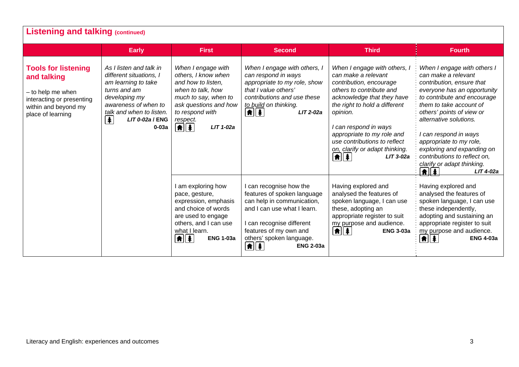|                                                                                                                                          | <b>Early</b>                                                                                                                                                                                                  | <b>First</b>                                                                                                                                                                                                     | <b>Second</b>                                                                                                                                                                                                                                             | <b>Third</b>                                                                                                                                                                                                                                                                                                                                                  | <b>Fourth</b>                                                                                                                                                                                                                                                                                                                                                                                                      |
|------------------------------------------------------------------------------------------------------------------------------------------|---------------------------------------------------------------------------------------------------------------------------------------------------------------------------------------------------------------|------------------------------------------------------------------------------------------------------------------------------------------------------------------------------------------------------------------|-----------------------------------------------------------------------------------------------------------------------------------------------------------------------------------------------------------------------------------------------------------|---------------------------------------------------------------------------------------------------------------------------------------------------------------------------------------------------------------------------------------------------------------------------------------------------------------------------------------------------------------|--------------------------------------------------------------------------------------------------------------------------------------------------------------------------------------------------------------------------------------------------------------------------------------------------------------------------------------------------------------------------------------------------------------------|
| <b>Tools for listening</b><br>and talking<br>- to help me when<br>interacting or presenting<br>within and beyond my<br>place of learning | As I listen and talk in<br>different situations, I<br>am learning to take<br>turns and am<br>developing my<br>awareness of when to<br>talk and when to listen.<br>$\clubsuit$<br>$LIT 0-02a$ / ENG<br>$0-03a$ | When I engage with<br>others, I know when<br>and how to listen,<br>when to talk, how<br>much to say, when to<br>ask questions and how<br>to respond with<br>respect.<br>$\left  \mathbf{f} \right $<br>LIT 1-02a | When I engage with others, I<br>can respond in ways<br>appropriate to my role, show<br>that I value others'<br>contributions and use these<br>to build on thinking.<br>$\left  \mathbf{f} \right $<br>LIT 2-02a                                           | When I engage with others, I<br>can make a relevant<br>contribution, encourage<br>others to contribute and<br>acknowledge that they have<br>the right to hold a different<br>opinion.<br>I can respond in ways<br>appropriate to my role and<br>use contributions to reflect<br>on, clarify or adapt thinking.<br>$\left  \frac{1}{2} \right $<br>$LIT$ 3-02a | When I engage with others I<br>can make a relevant<br>contribution, ensure that<br>everyone has an opportunity<br>to contribute and encourage<br>them to take account of<br>others' points of view or<br>alternative solutions.<br>can respond in ways<br>appropriate to my role,<br>exploring and expanding on<br>contributions to reflect on,<br>clarify or adapt thinking.<br>$\boxed{\textbf{f}}$<br>LIT 4-02a |
|                                                                                                                                          |                                                                                                                                                                                                               | am exploring how<br>pace, gesture,<br>expression, emphasis<br>and choice of words<br>are used to engage<br>others, and I can use<br>what I learn.<br>$\left  \frac{1}{2} \right $<br><b>ENG 1-03a</b>            | I can recognise how the<br>features of spoken language<br>can help in communication,<br>and I can use what I learn.<br>I can recognise different<br>features of my own and<br>others' spoken language.<br>$\left  \mathbf{f} \right $<br><b>ENG 2-03a</b> | Having explored and<br>analysed the features of<br>spoken language, I can use<br>these, adopting an<br>appropriate register to suit<br>my purpose and audience.<br>11 1<br><b>ENG 3-03a</b>                                                                                                                                                                   | Having explored and<br>analysed the features of<br>spoken language, I can use<br>these independently,<br>adopting and sustaining an<br>appropriate register to suit<br>my purpose and audience.<br>$\left  \mathbf{f} \right $ $\left  \mathbf{f} \right $<br><b>ENG 4-03a</b>                                                                                                                                     |

٦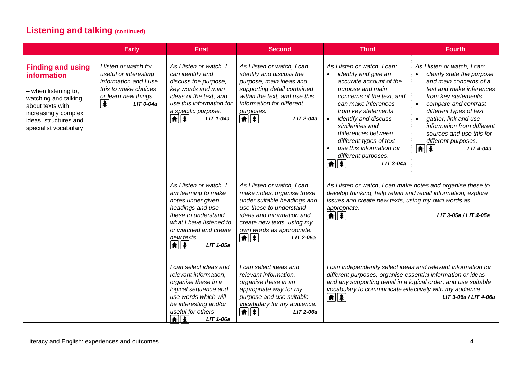|                                                                                                                                                                                       | <b>Early</b>                                                                                                                                          | <b>First</b>                                                                                                                                                                                                         | <b>Second</b>                                                                                                                                                                                                                                                                                                    | <b>Third</b>                                                                                                                                                                                                                                                                                                                                                                                          | <b>Fourth</b>                                                                                                                                                                                                                                                                                                                                              |
|---------------------------------------------------------------------------------------------------------------------------------------------------------------------------------------|-------------------------------------------------------------------------------------------------------------------------------------------------------|----------------------------------------------------------------------------------------------------------------------------------------------------------------------------------------------------------------------|------------------------------------------------------------------------------------------------------------------------------------------------------------------------------------------------------------------------------------------------------------------------------------------------------------------|-------------------------------------------------------------------------------------------------------------------------------------------------------------------------------------------------------------------------------------------------------------------------------------------------------------------------------------------------------------------------------------------------------|------------------------------------------------------------------------------------------------------------------------------------------------------------------------------------------------------------------------------------------------------------------------------------------------------------------------------------------------------------|
| <b>Finding and using</b><br>information<br>- when listening to,<br>watching and talking<br>about texts with<br>increasingly complex<br>ideas, structures and<br>specialist vocabulary | I listen or watch for<br>useful or interesting<br>information and I use<br>this to make choices<br>or learn new things.<br>$\clubsuit$<br>$LIT$ 0-04a | As I listen or watch, I<br>can identify and<br>discuss the purpose,<br>key words and main<br>ideas of the text, and<br>use this information for<br>a specific purpose.<br>$\left  \textbf{f} \right $<br>LIT 1-04a   | As I listen or watch, I can<br>identify and discuss the<br>purpose, main ideas and<br>supporting detail contained<br>within the text, and use this<br>information for different<br>purposes.<br>114<br>LIT 2-04a                                                                                                 | As I listen or watch, I can:<br>identify and give an<br>$\bullet$<br>accurate account of the<br>purpose and main<br>concerns of the text, and<br>can make inferences<br>from key statements<br>identify and discuss<br>similarities and<br>differences between<br>different types of text<br>use this information for<br>different purposes.<br>$\boxed{\textcolor{red}{\blacklozenge}}$<br>LIT 3-04a | As I listen or watch, I can:<br>clearly state the purpose<br>and main concerns of a<br>text and make inferences<br>from key statements<br>compare and contrast<br>different types of text<br>gather, link and use<br>information from different<br>sources and use this for<br>different purposes.<br>$\parallel \uparrow \parallel \uparrow$<br>LIT 4-04a |
|                                                                                                                                                                                       |                                                                                                                                                       | As I listen or watch, I<br>am learning to make<br>notes under given<br>headings and use<br>these to understand<br>what I have listened to<br>or watched and create<br>new texts.<br>$\boxed{\textbf{f}$<br>LIT 1-05a | As I listen or watch, I can<br>make notes, organise these<br>under suitable headings and<br>use these to understand<br>ideas and information and<br>create new texts, using my<br>own words as appropriate.<br>$\begin{array}{c c c c c} \hline \textbf{a} & \textbf{b} & \textbf{b} \end{array}$<br>$LIT$ 2-05a | As I listen or watch, I can make notes and organise these to<br>develop thinking, help retain and recall information, explore<br>issues and create new texts, using my own words as<br>appropriate.<br>∈∎                                                                                                                                                                                             | LIT 3-05a / LIT 4-05a                                                                                                                                                                                                                                                                                                                                      |
|                                                                                                                                                                                       |                                                                                                                                                       | I can select ideas and<br>relevant information,<br>organise these in a<br>logical sequence and<br>use words which will<br>be interesting and/or<br>useful for others.<br>$\boxed{\textbf{f}}$<br>LIT 1-06a           | I can select ideas and<br>relevant information,<br>organise these in an<br>appropriate way for my<br>purpose and use suitable<br>vocabulary for my audience.<br>$  \hat{\bm{\pi}}  \hat{\bm{z}}  $<br>LIT 2-06a                                                                                                  | I can independently select ideas and relevant information for<br>different purposes, organise essential information or ideas<br>and any supporting detail in a logical order, and use suitable<br>vocabulary to communicate effectively with my audience.<br>$\boxed{\textbf{f}$<br>LIT 3-06a / LIT 4-06a                                                                                             |                                                                                                                                                                                                                                                                                                                                                            |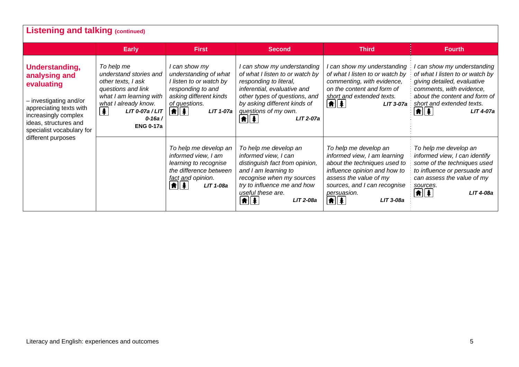| <b>Listening and talking (continued)</b>                                                                                                                                         |                                                                                                                                                                                                              |                                                                                                                                                                                                 |                                                                                                                                                                                                                                                                                  |                                                                                                                                                                                                                                                         |                                                                                                                                                                                                                                                   |  |  |
|----------------------------------------------------------------------------------------------------------------------------------------------------------------------------------|--------------------------------------------------------------------------------------------------------------------------------------------------------------------------------------------------------------|-------------------------------------------------------------------------------------------------------------------------------------------------------------------------------------------------|----------------------------------------------------------------------------------------------------------------------------------------------------------------------------------------------------------------------------------------------------------------------------------|---------------------------------------------------------------------------------------------------------------------------------------------------------------------------------------------------------------------------------------------------------|---------------------------------------------------------------------------------------------------------------------------------------------------------------------------------------------------------------------------------------------------|--|--|
|                                                                                                                                                                                  | <b>Early</b>                                                                                                                                                                                                 | <b>First</b>                                                                                                                                                                                    | <b>Second</b>                                                                                                                                                                                                                                                                    | <b>Third</b>                                                                                                                                                                                                                                            | <b>Fourth</b>                                                                                                                                                                                                                                     |  |  |
| Understanding,<br>analysing and<br>evaluating<br>- investigating and/or<br>appreciating texts with<br>increasingly complex<br>ideas, structures and<br>specialist vocabulary for | To help me<br>understand stories and<br>other texts, I ask<br>questions and link<br>what I am learning with<br>what I already know.<br>$\blacktriangle$<br>LIT 0-07a / LIT<br>$0 - 16a/$<br><b>ENG 0-17a</b> | I can show my<br>understanding of what<br>I listen to or watch by<br>responding to and<br>asking different kinds<br>of questions.<br>$ \hat{\mathbf{n}}  \hat{\mathbf{z}} $<br><b>LIT 1-07a</b> | I can show my understanding<br>of what I listen to or watch by<br>responding to literal,<br>inferential, evaluative and<br>other types of questions, and<br>by asking different kinds of<br>questions of my own.<br>$  \hat{\mathbf{n}}  \hat{\mathbf{z}}  $<br><b>LIT 2-07a</b> | can show my understanding<br>of what I listen to or watch by<br>commenting, with evidence,<br>on the content and form of<br>short and extended texts.<br>$\left  \mathbf{\hat{n}} \right $<br>$LIT 3-07a$                                               | I can show my understanding<br>of what I listen to or watch by<br>giving detailed, evaluative<br>comments, with evidence,<br>about the content and form of<br>short and extended texts.<br>$  \hat{\bm{\pi}}  \hat{\bm{z}}  $<br><b>LIT 4-07a</b> |  |  |
| different purposes                                                                                                                                                               |                                                                                                                                                                                                              | To help me develop an<br>informed view, I am<br>learning to recognise<br>the difference between<br>fact and opinion.<br>$\left  \mathbf{f} \right $<br>LIT 1-08a                                | To help me develop an<br>informed view, I can<br>distinguish fact from opinion,<br>and I am learning to<br>recognise when my sources<br>try to influence me and how<br>useful these are.<br>LIT 2-08a                                                                            | To help me develop an<br>informed view, I am learning<br>about the techniques used to<br>influence opinion and how to<br>assess the value of my<br>sources, and I can recognise<br>persuasion.<br>$  \hat{\mathbf{n}}  \hat{\mathbf{z}}  $<br>LIT 3-08a | To help me develop an<br>informed view, I can identify<br>some of the techniques used<br>to influence or persuade and<br>can assess the value of my<br>sources.<br>$  \hat{\mathbf{f}}  $<br>LIT 4-08a                                            |  |  |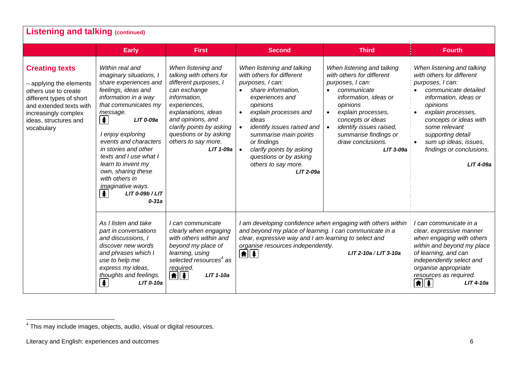|                                                                                                                                                                                                | <b>Early</b>                                                                                                                                                                                                                                                                                                                                                                                                                                 | <b>First</b>                                                                                                                                                                                                                                                   | <b>Second</b>                                                                                                                                                                                                                                                                                                                                                               | <b>Third</b>                                                                                                                                                                                                                                                                               | <b>Fourth</b>                                                                                                                                                                                                                                                                                    |
|------------------------------------------------------------------------------------------------------------------------------------------------------------------------------------------------|----------------------------------------------------------------------------------------------------------------------------------------------------------------------------------------------------------------------------------------------------------------------------------------------------------------------------------------------------------------------------------------------------------------------------------------------|----------------------------------------------------------------------------------------------------------------------------------------------------------------------------------------------------------------------------------------------------------------|-----------------------------------------------------------------------------------------------------------------------------------------------------------------------------------------------------------------------------------------------------------------------------------------------------------------------------------------------------------------------------|--------------------------------------------------------------------------------------------------------------------------------------------------------------------------------------------------------------------------------------------------------------------------------------------|--------------------------------------------------------------------------------------------------------------------------------------------------------------------------------------------------------------------------------------------------------------------------------------------------|
| <b>Creating texts</b><br>- applying the elements<br>others use to create<br>different types of short<br>and extended texts with<br>increasingly complex<br>ideas, structures and<br>vocabulary | Within real and<br>imaginary situations, I<br>share experiences and<br>feelings, ideas and<br>information in a way<br>that communicates my<br>message.<br>$\left  \frac{1}{2} \right $<br>LIT 0-09a<br>I enjoy exploring<br>events and characters<br>in stories and other<br>texts and I use what I<br>learn to invent my<br>own, sharing these<br>with others in<br><i>imaginative ways.</i><br>$\clubsuit$<br>LIT 0-09b / LIT<br>$0 - 31a$ | When listening and<br>talking with others for<br>different purposes, I<br>can exchange<br>information,<br>experiences,<br>explanations, ideas<br>and opinions, and<br>clarify points by asking<br>questions or by asking<br>others to say more.<br>$LIT$ 1-09a | When listening and talking<br>with others for different<br>purposes, I can:<br>share information,<br>$\bullet$<br>experiences and<br>opinions<br>explain processes and<br>$\bullet$<br>ideas<br>identify issues raised and<br>summarise main points<br>or findings<br>clarify points by asking<br>$\bullet$<br>questions or by asking<br>others to say more.<br>$LIT$ 2-09a | When listening and talking<br>with others for different<br>purposes, I can:<br>communicate<br>information, ideas or<br>opinions<br>explain processes,<br>$\bullet$<br>concepts or ideas<br>identify issues raised,<br>$\bullet$<br>summarise findings or<br>draw conclusions.<br>LIT 3-09a | When listening and talking<br>with others for different<br>purposes, I can:<br>communicate detailed<br>information, ideas or<br>opinions<br>explain processes,<br>concepts or ideas with<br>some relevant<br>supporting detail<br>sum up ideas, issues,<br>findings or conclusions.<br>LIT 4-09a |
|                                                                                                                                                                                                | As I listen and take<br>part in conversations<br>and discussions, I<br>discover new words<br>and phrases which I<br>use to help me<br>express my ideas,<br>thoughts and feelings.<br>$LIT$ 0-10a<br>丰                                                                                                                                                                                                                                        | I can communicate<br>clearly when engaging<br>with others within and<br>beyond my place of<br>learning, using<br>selected resources <sup>4</sup> as<br>required.<br>$\left  \mathbf{f} \right $<br>LIT 1-10a                                                   | and beyond my place of learning. I can communicate in a<br>clear, expressive way and I am learning to select and<br>organise resources independently.<br>$\frac{1}{2}$                                                                                                                                                                                                      | I am developing confidence when engaging with others within<br>LIT 2-10a / LIT 3-10a                                                                                                                                                                                                       | ' can communicate in a<br>clear, expressive manner<br>when engaging with others<br>within and beyond my place<br>of learning, and can<br>independently select and<br>organise appropriate<br>resources as required.<br>$\left  \frac{1}{2} \right $<br>$LIT$ 4-10a                               |

<sup>4</sup> This may include images, objects, audio, visual or digital resources.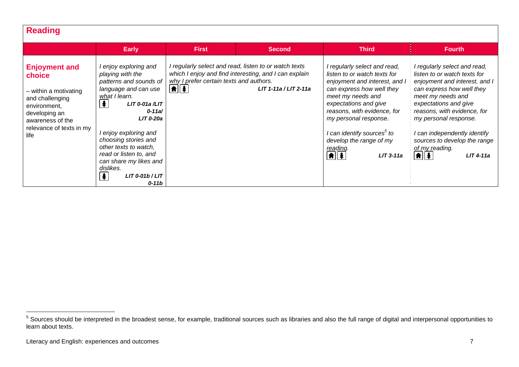| <b>Reading</b>                                                                                                                                                      |                                                                                                                                                                                                                                                                                                                                                            |                                                                                    |                                                                                                                                             |                                                                                                                                                                                                                                                                                                                                                      |                                                                                                                                                                                                                                                                                                                                                                             |
|---------------------------------------------------------------------------------------------------------------------------------------------------------------------|------------------------------------------------------------------------------------------------------------------------------------------------------------------------------------------------------------------------------------------------------------------------------------------------------------------------------------------------------------|------------------------------------------------------------------------------------|---------------------------------------------------------------------------------------------------------------------------------------------|------------------------------------------------------------------------------------------------------------------------------------------------------------------------------------------------------------------------------------------------------------------------------------------------------------------------------------------------------|-----------------------------------------------------------------------------------------------------------------------------------------------------------------------------------------------------------------------------------------------------------------------------------------------------------------------------------------------------------------------------|
|                                                                                                                                                                     | <b>Early</b>                                                                                                                                                                                                                                                                                                                                               | <b>First</b>                                                                       | <b>Second</b>                                                                                                                               | <b>Third</b>                                                                                                                                                                                                                                                                                                                                         | <b>Fourth</b>                                                                                                                                                                                                                                                                                                                                                               |
| <b>Enjoyment and</b><br>choice<br>- within a motivating<br>and challenging<br>environment,<br>developing an<br>awareness of the<br>relevance of texts in my<br>life | l enjoy exploring and<br>playing with the<br>patterns and sounds of<br>language and can use<br>what I learn.<br>  ≸<br>$LIT$ 0-01a $/LIT$<br>$0 - 11a/$<br>$LIT$ 0-20a<br>I enjoy exploring and<br>choosing stories and<br>other texts to watch,<br>read or listen to, and<br>can share my likes and<br>dislikes.<br>丰<br>$LIT$ 0-01b / $LIT$<br>$0 - 11b$ | why I prefer certain texts and authors.<br>$\parallel \uparrow \parallel \uparrow$ | I regularly select and read, listen to or watch texts<br>which I enjoy and find interesting, and I can explain<br>$LIT$ 1-11a / $LIT$ 2-11a | I regularly select and read,<br>listen to or watch texts for<br>enjoyment and interest, and I<br>can express how well they<br>meet my needs and<br>expectations and give<br>reasons, with evidence, for<br>my personal response.<br>l can identify sources <sup>5</sup> to<br>develop the range of my<br>reading.<br>$  \mathbf{f}  $<br>$LIT$ 3-11a | I regularly select and read,<br>listen to or watch texts for<br>enjoyment and interest, and I<br>can express how well they<br>meet my needs and<br>expectations and give<br>reasons, with evidence, for<br>my personal response.<br>can independently identify<br>sources to develop the range<br>of my reading.<br>$  \hat{\mathbf{f}}  \hat{\mathbf{f}}  $<br>$LIT$ 4-11a |

<sup>&</sup>lt;sup>5</sup> Sources should be interpreted in the broadest sense, for example, traditional sources such as libraries and also the full range of digital and interpersonal opportunities to learn about texts.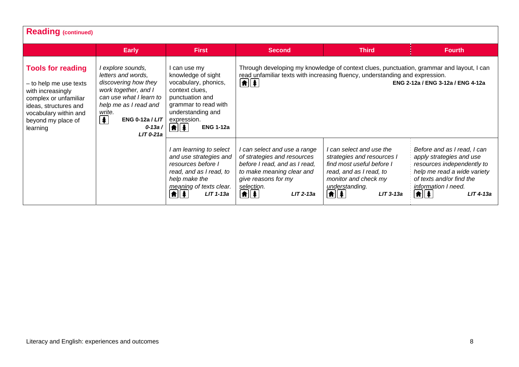| <b>Reading (continued)</b>                                                                                                                                                           |                                                                                                                                                                                                                                             |                                                                                                                                                                                                                |                                                                                                                                                                                                       |                                                                                                                                                                                                               |                                                                                                                                                                                                                  |  |  |
|--------------------------------------------------------------------------------------------------------------------------------------------------------------------------------------|---------------------------------------------------------------------------------------------------------------------------------------------------------------------------------------------------------------------------------------------|----------------------------------------------------------------------------------------------------------------------------------------------------------------------------------------------------------------|-------------------------------------------------------------------------------------------------------------------------------------------------------------------------------------------------------|---------------------------------------------------------------------------------------------------------------------------------------------------------------------------------------------------------------|------------------------------------------------------------------------------------------------------------------------------------------------------------------------------------------------------------------|--|--|
|                                                                                                                                                                                      | <b>Early</b>                                                                                                                                                                                                                                | <b>First</b>                                                                                                                                                                                                   | <b>Second</b>                                                                                                                                                                                         | <b>Third</b>                                                                                                                                                                                                  | <b>Fourth</b>                                                                                                                                                                                                    |  |  |
| <b>Tools for reading</b><br>- to help me use texts<br>with increasingly<br>complex or unfamiliar<br>ideas, structures and<br>vocabulary within and<br>beyond my place of<br>learning | I explore sounds,<br>letters and words,<br>discovering how they<br>work together, and I<br>can use what I learn to<br>help me as I read and<br>write.<br>$\left  \frac{1}{2} \right $<br><b>ENG 0-12a / LIT</b><br>$0 - 13a$<br>$LIT 0-21a$ | I can use my<br>knowledge of sight<br>vocabulary, phonics,<br>context clues.<br>punctuation and<br>grammar to read with<br>understanding and<br>expression.<br>$\left  \mathbf{f} \right $<br><b>ENG 1-12a</b> | $\left  \mathbf{f} \right $                                                                                                                                                                           | Through developing my knowledge of context clues, punctuation, grammar and layout, I can<br>read unfamiliar texts with increasing fluency, understanding and expression.<br>ENG 2-12a / ENG 3-12a / ENG 4-12a |                                                                                                                                                                                                                  |  |  |
|                                                                                                                                                                                      |                                                                                                                                                                                                                                             | I am learning to select<br>and use strategies and<br>resources before I<br>read, and as I read, to<br>help make the<br>meaning of texts clear.<br>$\boxed{\uparrow}$<br>$LIT$ 1-13a                            | I can select and use a range<br>of strategies and resources<br>before I read, and as I read,<br>to make meaning clear and<br>give reasons for my<br>selection.<br>$\boxed{\textbf{f}}$<br>$LIT$ 2-13a | I can select and use the<br>strategies and resources I<br>find most useful before I<br>read, and as I read, to<br>monitor and check my<br>understanding.<br>$\left  \mathbf{f} \right $<br>$LIT$ 3-13a        | Before and as I read, I can<br>apply strategies and use<br>resources independently to<br>help me read a wide variety<br>of texts and/or find the<br>information I need.<br>$  \hat{\mathbf{n}}  $<br>$LIT$ 4-13a |  |  |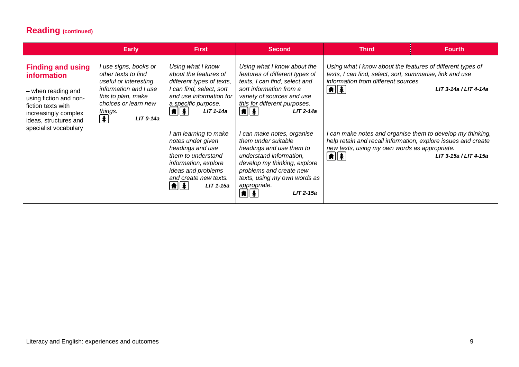| <b>Reading (continued)</b>                                                                                                                                            |                                                                                                                                                                                                        |                                                                                                                                                                                                  |                                                                                                                                                                                                                                                          |                                                                                                                                                                                                             |                           |  |  |  |
|-----------------------------------------------------------------------------------------------------------------------------------------------------------------------|--------------------------------------------------------------------------------------------------------------------------------------------------------------------------------------------------------|--------------------------------------------------------------------------------------------------------------------------------------------------------------------------------------------------|----------------------------------------------------------------------------------------------------------------------------------------------------------------------------------------------------------------------------------------------------------|-------------------------------------------------------------------------------------------------------------------------------------------------------------------------------------------------------------|---------------------------|--|--|--|
|                                                                                                                                                                       | <b>Early</b>                                                                                                                                                                                           | <b>First</b>                                                                                                                                                                                     | <b>Second</b>                                                                                                                                                                                                                                            | <b>Third</b>                                                                                                                                                                                                | <b>Fourth</b>             |  |  |  |
| <b>Finding and using</b><br><b>information</b><br>- when reading and<br>using fiction and non-<br>fiction texts with<br>increasingly complex<br>ideas, structures and | I use signs, books or<br>other texts to find<br>useful or interesting<br>information and I use<br>this to plan, make<br>choices or learn new<br>things.<br>$\left  \frac{1}{2} \right $<br>$LIT$ 0-14a | Using what I know<br>about the features of<br>different types of texts,<br>I can find, select, sort<br>and use information for<br>a specific purpose.<br>$\frac{1}{2}$<br>$LIT$ 1-14a            | Using what I know about the<br>features of different types of<br>texts, I can find, select and<br>sort information from a<br>variety of sources and use<br>this for different purposes.<br>$\left  \mathbf{f} \right $<br>$LIT$ 2-14a                    | Using what I know about the features of different types of<br>texts, I can find, select, sort, summarise, link and use<br>information from different sources.<br>$\boxed{\uparrow}$                         | $LIT$ 3-14a / $LIT$ 4-14a |  |  |  |
| specialist vocabulary                                                                                                                                                 |                                                                                                                                                                                                        | I am learning to make<br>notes under given<br>headings and use<br>them to understand<br>information, explore<br>ideas and problems<br>and create new texts.<br>$\boxed{\uparrow}$<br>$LIT$ 1-15a | can make notes, organise<br>them under suitable<br>headings and use them to<br>understand information,<br>develop my thinking, explore<br>problems and create new<br>texts, using my own words as<br>appropriate.<br>$\boxed{\textbf{f}}$<br>$LIT$ 2-15a | I can make notes and organise them to develop my thinking,<br>help retain and recall information, explore issues and create<br>new texts, using my own words as appropriate.<br>$\left  \mathbf{f} \right $ | LIT 3-15a / LIT 4-15a     |  |  |  |

٦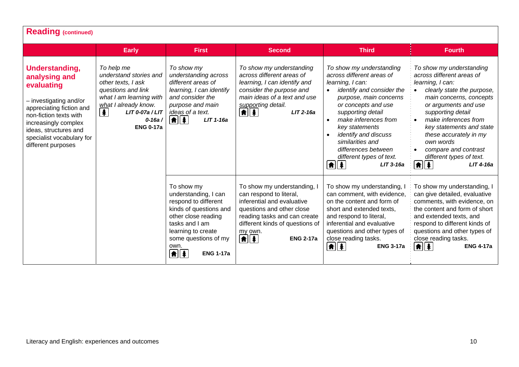| <b>Reading (continued)</b>                                                                                                                                                                                                        |                                                                                                                                                                                                            |                                                                                                                                                                                                                                 |                                                                                                                                                                                                                                             |                                                                                                                                                                                                                                                                                                                                                                                                                                     |                                                                                                                                                                                                                                                                                                                                                                                    |  |  |
|-----------------------------------------------------------------------------------------------------------------------------------------------------------------------------------------------------------------------------------|------------------------------------------------------------------------------------------------------------------------------------------------------------------------------------------------------------|---------------------------------------------------------------------------------------------------------------------------------------------------------------------------------------------------------------------------------|---------------------------------------------------------------------------------------------------------------------------------------------------------------------------------------------------------------------------------------------|-------------------------------------------------------------------------------------------------------------------------------------------------------------------------------------------------------------------------------------------------------------------------------------------------------------------------------------------------------------------------------------------------------------------------------------|------------------------------------------------------------------------------------------------------------------------------------------------------------------------------------------------------------------------------------------------------------------------------------------------------------------------------------------------------------------------------------|--|--|
|                                                                                                                                                                                                                                   | <b>Early</b>                                                                                                                                                                                               | <b>First</b>                                                                                                                                                                                                                    | <b>Second</b>                                                                                                                                                                                                                               | <b>Third</b>                                                                                                                                                                                                                                                                                                                                                                                                                        | <b>Fourth</b>                                                                                                                                                                                                                                                                                                                                                                      |  |  |
| Understanding,<br>analysing and<br>evaluating<br>- investigating and/or<br>appreciating fiction and<br>non-fiction texts with<br>increasingly complex<br>ideas, structures and<br>specialist vocabulary for<br>different purposes | To help me<br>understand stories and<br>other texts, I ask<br>questions and link<br>what I am learning with<br>what I already know.<br>$\clubsuit$<br>$LIT$ 0-07a / $LIT$<br>$0 - 16a$<br><b>ENG 0-17a</b> | To show my<br>understanding across<br>different areas of<br>learning, I can identify<br>and consider the<br>purpose and main<br>ideas of a text.<br>$\frac{1}{2}$<br>$LIT$ 1-16a                                                | To show my understanding<br>across different areas of<br>learning, I can identify and<br>consider the purpose and<br>main ideas of a text and use<br>supporting detail.<br>$\frac{1}{2}$<br>$LIT 2-16a$                                     | To show my understanding<br>across different areas of<br>learning, I can:<br>identify and consider the<br>$\bullet$<br>purpose, main concerns<br>or concepts and use<br>supporting detail<br>make inferences from<br>$\bullet$<br>key statements<br>identify and discuss<br>similarities and<br>differences between<br>different types of text.<br>$\left  \hat{\mathbf{n}} \right  \left  \hat{\mathbf{A}} \right $<br>$LIT$ 3-16a | To show my understanding<br>across different areas of<br>learning, I can:<br>clearly state the purpose,<br>main concerns, concepts<br>or arguments and use<br>supporting detail<br>make inferences from<br>key statements and state<br>these accurately in my<br>own words<br>compare and contrast<br>different types of text.<br>$\left  \mathbf{\hat{n}} \right $<br>$LIT$ 4-16a |  |  |
|                                                                                                                                                                                                                                   |                                                                                                                                                                                                            | To show my<br>understanding, I can<br>respond to different<br>kinds of questions and<br>other close reading<br>tasks and I am<br>learning to create<br>some questions of my<br>own.<br>$\boxed{\textbf{f}}$<br><b>ENG 1-17a</b> | To show my understanding, I<br>can respond to literal,<br>inferential and evaluative<br>questions and other close<br>reading tasks and can create<br>different kinds of questions of<br>my own.<br>$\boxed{\textbf{f}}$<br><b>ENG 2-17a</b> | To show my understanding, I<br>can comment, with evidence,<br>on the content and form of<br>short and extended texts,<br>and respond to literal,<br>inferential and evaluative<br>questions and other types of<br>close reading tasks.<br>11 年 1<br><b>ENG 3-17a</b>                                                                                                                                                                | To show my understanding, I<br>can give detailed, evaluative<br>comments, with evidence, on<br>the content and form of short<br>and extended texts, and<br>respond to different kinds of<br>questions and other types of<br>close reading tasks.<br>$ \hat{\bm{\pi}}  \hat{\bm{z}} $<br><b>ENG 4-17a</b>                                                                           |  |  |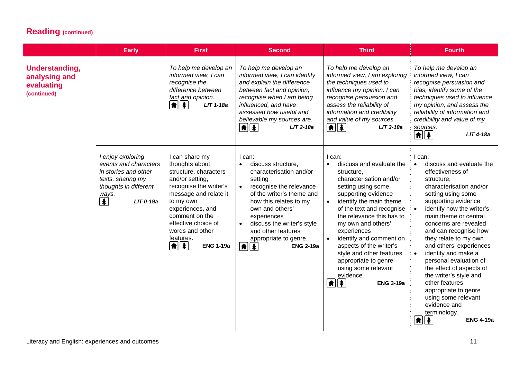| <b>Reading (continued)</b>                                          |                                                                                                                                                               |                                                                                                                                                                                                                                                                                     |                                                                                                                                                                                                                                                                                                                                     |                                                                                                                                                                                                                                                                                                                                                                                                                                                                               |                                                                                                                                                                                                                                                                                                                                                                                                                                                                                                                                                              |  |  |
|---------------------------------------------------------------------|---------------------------------------------------------------------------------------------------------------------------------------------------------------|-------------------------------------------------------------------------------------------------------------------------------------------------------------------------------------------------------------------------------------------------------------------------------------|-------------------------------------------------------------------------------------------------------------------------------------------------------------------------------------------------------------------------------------------------------------------------------------------------------------------------------------|-------------------------------------------------------------------------------------------------------------------------------------------------------------------------------------------------------------------------------------------------------------------------------------------------------------------------------------------------------------------------------------------------------------------------------------------------------------------------------|--------------------------------------------------------------------------------------------------------------------------------------------------------------------------------------------------------------------------------------------------------------------------------------------------------------------------------------------------------------------------------------------------------------------------------------------------------------------------------------------------------------------------------------------------------------|--|--|
|                                                                     | <b>Early</b>                                                                                                                                                  | <b>First</b>                                                                                                                                                                                                                                                                        | <b>Second</b>                                                                                                                                                                                                                                                                                                                       | <b>Third</b>                                                                                                                                                                                                                                                                                                                                                                                                                                                                  | <b>Fourth</b>                                                                                                                                                                                                                                                                                                                                                                                                                                                                                                                                                |  |  |
| <b>Understanding,</b><br>analysing and<br>evaluating<br>(continued) |                                                                                                                                                               | To help me develop an<br>informed view, I can<br>recognise the<br>difference between<br>fact and opinion.<br>$\frac{1}{2}$<br>LIT 1-18a                                                                                                                                             | To help me develop an<br>informed view, I can identify<br>and explain the difference<br>between fact and opinion,<br>recognise when I am being<br>influenced, and have<br>assessed how useful and<br>believable my sources are.<br>$  \hat{\mathbf{n}}  $ $\hat{\mathbf{z}}$<br>$LIT$ 2-18a                                         | To help me develop an<br>informed view, I am exploring<br>the techniques used to<br>influence my opinion. I can<br>recognise persuasion and<br>assess the reliability of<br>information and credibility<br>and value of my sources.<br>$  \hat{\mathbf{n}}  \hat{\mathbf{z}}  $<br>LIT 3-18a                                                                                                                                                                                  | To help me develop an<br>informed view, I can<br>recognise persuasion and<br>bias, identify some of the<br>techniques used to influence<br>my opinion, and assess the<br>reliability of information and<br>credibility and value of my<br>sources.<br>$\left[ \frac{1}{2} \right]$<br>$LIT$ 4-18a                                                                                                                                                                                                                                                            |  |  |
|                                                                     | I enjoy exploring<br>events and characters<br>in stories and other<br>texts, sharing my<br>thoughts in different<br>ways.<br>$\overline{\ast}$<br>$LIT$ 0-19a | I can share my<br>thoughts about<br>structure, characters<br>and/or setting,<br>recognise the writer's<br>message and relate it<br>to my own<br>experiences, and<br>comment on the<br>effective choice of<br>words and other<br>features.<br>$\boxed{\uparrow}$<br><b>ENG 1-19a</b> | I can:<br>discuss structure,<br>characterisation and/or<br>setting<br>recognise the relevance<br>$\bullet$<br>of the writer's theme and<br>how this relates to my<br>own and others'<br>experiences<br>discuss the writer's style<br>and other features<br>appropriate to genre.<br>$\left  \mathbf{f} \right $<br><b>ENG 2-19a</b> | I can:<br>discuss and evaluate the<br>structure,<br>characterisation and/or<br>setting using some<br>supporting evidence<br>identify the main theme<br>$\bullet$<br>of the text and recognise<br>the relevance this has to<br>my own and others'<br>experiences<br>identify and comment on<br>$\bullet$<br>aspects of the writer's<br>style and other features<br>appropriate to genre<br>using some relevant<br>evidence.<br>$\left  \mathbf{f} \right $<br><b>ENG 3-19a</b> | I can:<br>discuss and evaluate the<br>effectiveness of<br>structure,<br>characterisation and/or<br>setting using some<br>supporting evidence<br>identify how the writer's<br>main theme or central<br>concerns are revealed<br>and can recognise how<br>they relate to my own<br>and others' experiences<br>identify and make a<br>personal evaluation of<br>the effect of aspects of<br>the writer's style and<br>other features<br>appropriate to genre<br>using some relevant<br>evidence and<br>terminology.<br>$\boxed{\textbf{f}}$<br><b>ENG 4-19a</b> |  |  |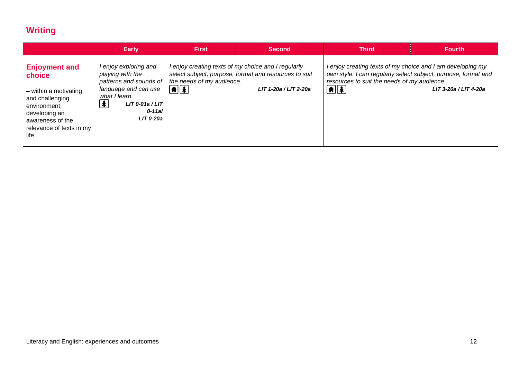| <b>Writing</b>                                                                                                                                                      |                                                                                                                                                                                |                                         |                                                                                                                                       |                                                                            |                                                                                                                                                       |
|---------------------------------------------------------------------------------------------------------------------------------------------------------------------|--------------------------------------------------------------------------------------------------------------------------------------------------------------------------------|-----------------------------------------|---------------------------------------------------------------------------------------------------------------------------------------|----------------------------------------------------------------------------|-------------------------------------------------------------------------------------------------------------------------------------------------------|
|                                                                                                                                                                     | <b>Early</b>                                                                                                                                                                   | <b>First</b>                            | <b>Second</b>                                                                                                                         | <b>Third</b>                                                               | <b>Fourth</b>                                                                                                                                         |
| <b>Enjoyment and</b><br>choice<br>- within a motivating<br>and challenging<br>environment,<br>developing an<br>awareness of the<br>relevance of texts in my<br>life | enjoy exploring and<br>playing with the<br>patterns and sounds of<br>language and can use<br>what I learn.<br>$\bigoplus$<br>$LIT 0-01a/LIT$<br>$0 - 11a/$<br><b>LIT 0-20a</b> | the needs of my audience.<br>$\bigcirc$ | I enjoy creating texts of my choice and I regularly<br>select subject, purpose, format and resources to suit<br>LIT 1-20a / LIT 2-20a | resources to suit the needs of my audience.<br>$\left  \mathbf{f} \right $ | l enjoy creating texts of my choice and I am developing my<br>own style. I can regularly select subject, purpose, format and<br>LIT 3-20a / LIT 4-20a |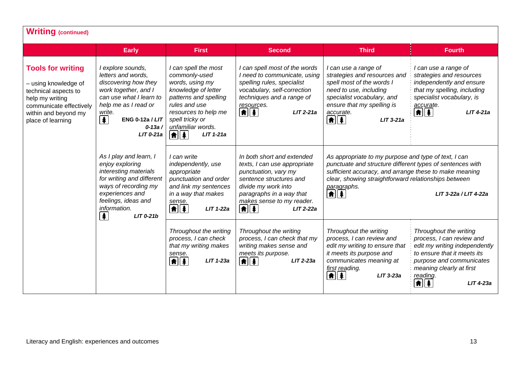| <b>Writing (continued)</b>                                                                                                                                          |                                                                                                                                                                                                                                                   |                                                                                                                                                                                                                                    |                                                                                                                                                                                                                     |                                                                                                                                                                                                                                                                                             |                                                                                                                                                                                                               |  |
|---------------------------------------------------------------------------------------------------------------------------------------------------------------------|---------------------------------------------------------------------------------------------------------------------------------------------------------------------------------------------------------------------------------------------------|------------------------------------------------------------------------------------------------------------------------------------------------------------------------------------------------------------------------------------|---------------------------------------------------------------------------------------------------------------------------------------------------------------------------------------------------------------------|---------------------------------------------------------------------------------------------------------------------------------------------------------------------------------------------------------------------------------------------------------------------------------------------|---------------------------------------------------------------------------------------------------------------------------------------------------------------------------------------------------------------|--|
|                                                                                                                                                                     | <b>Early</b>                                                                                                                                                                                                                                      | <b>First</b>                                                                                                                                                                                                                       | <b>Second</b>                                                                                                                                                                                                       | <b>Third</b>                                                                                                                                                                                                                                                                                | <b>Fourth</b>                                                                                                                                                                                                 |  |
| <b>Tools for writing</b><br>- using knowledge of<br>technical aspects to<br>help my writing<br>communicate effectively<br>within and beyond my<br>place of learning | I explore sounds,<br>letters and words,<br>discovering how they<br>work together, and I<br>can use what I learn to<br>help me as I read or<br>write.<br>$\left  \mathbf{\pmb{*}} \right $<br><b>ENG 0-12a / LIT</b><br>$0 - 13a /$<br>$LIT 0-21a$ | I can spell the most<br>commonly-used<br>words, using my<br>knowledge of letter<br>patterns and spelling<br>rules and use<br>resources to help me<br>spell tricky or<br>unfamiliar words.<br>$  \hat{\mathbf{f}}  $<br>$LIT 1-21a$ | I can spell most of the words<br>I need to communicate, using<br>spelling rules, specialist<br>vocabulary, self-correction<br>techniques and a range of<br>resources.<br>$\left  \mathbf{f} \right $<br>$LIT 2-21a$ | I can use a range of<br>strategies and resources and<br>spell most of the words I<br>need to use, including<br>specialist vocabulary, and<br>ensure that my spelling is<br>accurate.<br>$\left  \mathbf{f} \right $<br>$LIT$ 3-21a                                                          | I can use a range of<br>strategies and resources<br>independently and ensure<br>that my spelling, including<br>specialist vocabulary, is<br>accurate.<br>$\left[ \frac{1}{2} \right]$<br>$LIT$ 4-21a          |  |
|                                                                                                                                                                     | As I play and learn, I<br>enjoy exploring<br>interesting materials<br>for writing and different<br>ways of recording my<br>experiences and<br>feelings, ideas and<br>information.<br>$\clubsuit$<br>$LIT$ 0-21 $b$                                | I can write<br>independently, use<br>appropriate<br>punctuation and order<br>and link my sentences<br>in a way that makes<br>sense.<br>$\frac{1}{2}$<br>$LIT 1-22a$                                                                | In both short and extended<br>texts, I can use appropriate<br>punctuation, vary my<br>sentence structures and<br>divide my work into<br>paragraphs in a way that<br>makes sense to my reader.<br>匍達<br>$LIT 2-22a$  | As appropriate to my purpose and type of text, I can<br>punctuate and structure different types of sentences with<br>sufficient accuracy, and arrange these to make meaning<br>clear, showing straightforward relationships between<br>paragraphs.<br>$\parallel \hat{r} \parallel \hat{r}$ | LIT 3-22a / LIT 4-22a                                                                                                                                                                                         |  |
|                                                                                                                                                                     |                                                                                                                                                                                                                                                   | Throughout the writing<br>process, I can check<br>that my writing makes<br>sense.<br>$\boxed{\uparrow}$<br>$LIT$ 1-23a                                                                                                             | Throughout the writing<br>process, I can check that my<br>writing makes sense and<br>meets its purpose.<br>$\boxed{\uparrow}$ $\boxed{\uparrow}$<br>$LIT 2-23a$                                                     | Throughout the writing<br>process, I can review and<br>edit my writing to ensure that<br>it meets its purpose and<br>communicates meaning at<br>first reading.<br>$\parallel \hat{\bm{\pi}} \parallel \hat{\bm{\ast}}$<br>$LIT$ 3-23a                                                       | Throughout the writing<br>process, I can review and<br>edit my writing independently<br>to ensure that it meets its<br>purpose and communicates<br>meaning clearly at first<br>reading.<br>角∥条<br>$LIT$ 4-23a |  |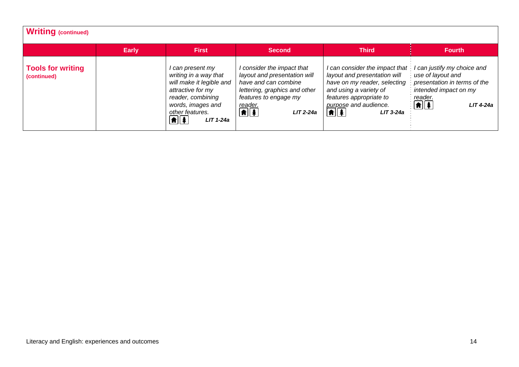| Writing (continued)                     |              |                                                                                                                                                                                                |                                                                                                                                                                                              |                                                                                                                                                                                                                                                                                     |                                                                                                                                 |
|-----------------------------------------|--------------|------------------------------------------------------------------------------------------------------------------------------------------------------------------------------------------------|----------------------------------------------------------------------------------------------------------------------------------------------------------------------------------------------|-------------------------------------------------------------------------------------------------------------------------------------------------------------------------------------------------------------------------------------------------------------------------------------|---------------------------------------------------------------------------------------------------------------------------------|
|                                         | <b>Early</b> | <b>First</b>                                                                                                                                                                                   | <b>Second</b>                                                                                                                                                                                | <b>Third</b>                                                                                                                                                                                                                                                                        | <b>Fourth</b>                                                                                                                   |
| <b>Tools for writing</b><br>(continued) |              | l can present my<br>writing in a way that<br>will make it legible and<br>attractive for my<br>reader, combining<br>words, images and<br>other features.<br>$\boxed{\textbf{f}}$<br>$LIT$ 1-24a | I consider the impact that<br>layout and presentation will<br>have and can combine<br>lettering, graphics and other<br>features to engage my<br>reader.<br>$\boxed{\uparrow}$<br>$LIT 2-24a$ | I can consider the impact that I can justify my choice and<br>layout and presentation will<br>have on my reader, selecting presentation in terms of the<br>and using a variety of<br>features appropriate to<br>purpose and audience.<br>$\left  \mathbf{f} \right $<br>$LIT$ 3-24a | $\frac{1}{2}$ use of layout and<br>intended impact on my<br>reader.<br>$\frac{1}{2}$ $\frac{1}{2}$ $\frac{1}{2}$<br>$LIT$ 4-24a |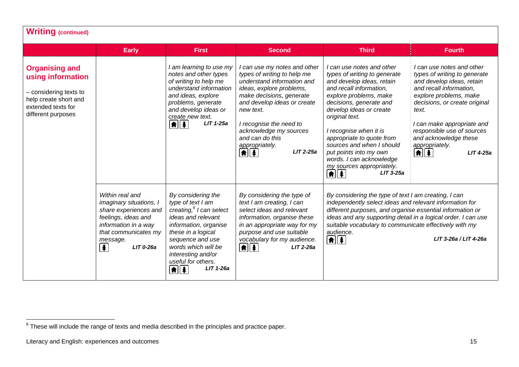|                                                                                                                                           | <b>Early</b>                                                                                                                                                                              | <b>First</b>                                                                                                                                                                                                                                                                             | <b>Second</b>                                                                                                                                                                                                                                                                                               | <b>Third</b>                                                                                                                                                                                                                                                                                                                                                                                                   | <b>Fourth</b>                                                                                                                                                                                                                                                                                                                         |
|-------------------------------------------------------------------------------------------------------------------------------------------|-------------------------------------------------------------------------------------------------------------------------------------------------------------------------------------------|------------------------------------------------------------------------------------------------------------------------------------------------------------------------------------------------------------------------------------------------------------------------------------------|-------------------------------------------------------------------------------------------------------------------------------------------------------------------------------------------------------------------------------------------------------------------------------------------------------------|----------------------------------------------------------------------------------------------------------------------------------------------------------------------------------------------------------------------------------------------------------------------------------------------------------------------------------------------------------------------------------------------------------------|---------------------------------------------------------------------------------------------------------------------------------------------------------------------------------------------------------------------------------------------------------------------------------------------------------------------------------------|
| <b>Organising and</b><br>using information<br>- considering texts to<br>help create short and<br>extended texts for<br>different purposes |                                                                                                                                                                                           | I am learning to use my<br>notes and other types<br>of writing to help me<br>understand information<br>and ideas, explore<br>problems, generate<br>and develop ideas or<br>create new text.<br>$\bigcirc$<br>$LIT$ 1-25a                                                                 | I can use my notes and other<br>types of writing to help me<br>understand information and<br>ideas, explore problems,<br>make decisions, generate<br>and develop ideas or create<br>new text.<br>I recognise the need to<br>acknowledge my sources<br>and can do this<br>appropriately.<br>LIT 2-25a<br>⋔∥⋬ | I can use notes and other<br>types of writing to generate<br>and develop ideas, retain<br>and recall information,<br>explore problems, make<br>decisions, generate and<br>develop ideas or create<br>original text.<br>I recognise when it is<br>appropriate to quote from<br>sources and when I should<br>put points into my own<br>words. I can acknowledge<br>my sources appropriately.<br><b>LIT 3-25a</b> | I can use notes and other<br>types of writing to generate<br>and develop ideas, retain<br>and recall information,<br>explore problems, make<br>decisions, or create original<br>text.<br>I can make appropriate and<br>responsible use of sources<br>and acknowledge these<br>appropriately.<br>$  \hat{\mathbf{f}}  $<br>$LIT$ 4-25a |
|                                                                                                                                           | Within real and<br>imaginary situations, I<br>share experiences and<br>feelings, ideas and<br>information in a way<br>that communicates my<br>message.<br>$\blacktriangle$<br>$LIT$ 0-26a | By considering the<br>type of text I am<br>creating, <sup>6</sup> I can select<br>ideas and relevant<br>information, organise<br>these in a logical<br>sequence and use<br>words which will be<br>interesting and/or<br>useful for others.<br>$LIT$ 1-26a<br>$\left  \mathbf{f} \right $ | By considering the type of<br>text I am creating, I can<br>select ideas and relevant<br>information, organise these<br>in an appropriate way for my<br>purpose and use suitable<br>vocabulary for my audience.<br>$\frac{1}{\frac{1}{2}}$<br>$LIT 2-26a$                                                    | By considering the type of text I am creating, I can<br>independently select ideas and relevant information for<br>different purposes, and organise essential information or<br>ideas and any supporting detail in a logical order. I can use<br>suitable vocabulary to communicate effectively with my<br>audience.<br>$\left  \mathbf{f} \right $<br>LIT 3-26a / LIT 4-26a                                   |                                                                                                                                                                                                                                                                                                                                       |

 $6$  These will include the range of texts and media described in the principles and practice paper.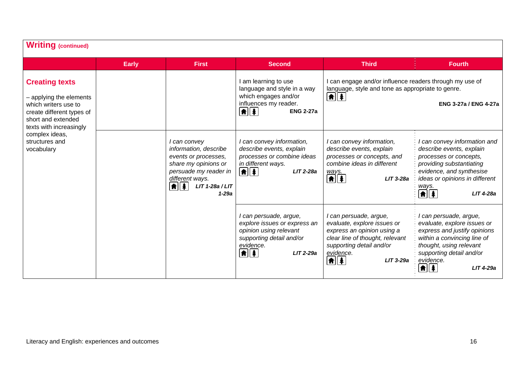| <b>Writing (continued)</b>                                                                                                                                                                               |              |                                                                                                                                                                            |                                                                                                                                                                        |                                                                                                                                                                                                      |                                                                                                                                                                                                                                                        |
|----------------------------------------------------------------------------------------------------------------------------------------------------------------------------------------------------------|--------------|----------------------------------------------------------------------------------------------------------------------------------------------------------------------------|------------------------------------------------------------------------------------------------------------------------------------------------------------------------|------------------------------------------------------------------------------------------------------------------------------------------------------------------------------------------------------|--------------------------------------------------------------------------------------------------------------------------------------------------------------------------------------------------------------------------------------------------------|
|                                                                                                                                                                                                          | <b>Early</b> | <b>First</b>                                                                                                                                                               | <b>Second</b>                                                                                                                                                          | <b>Third</b>                                                                                                                                                                                         | <b>Fourth</b>                                                                                                                                                                                                                                          |
| <b>Creating texts</b><br>- applying the elements<br>which writers use to<br>create different types of<br>short and extended<br>texts with increasingly<br>complex ideas,<br>structures and<br>vocabulary |              |                                                                                                                                                                            | I am learning to use<br>language and style in a way<br>which engages and/or<br>influences my reader.<br>$\left  \hat{\mathbf{f}} \right $<br><b>ENG 2-27a</b>          | I can engage and/or influence readers through my use of<br>language, style and tone as appropriate to genre.<br>▲≛                                                                                   | <b>ENG 3-27a / ENG 4-27a</b>                                                                                                                                                                                                                           |
|                                                                                                                                                                                                          |              | I can convey<br>information, describe<br>events or processes,<br>share my opinions or<br>persuade my reader in<br>different ways.<br>1 1<br>$LIT$ 1-28a / $LIT$<br>$1-29a$ | I can convey information,<br>describe events, explain<br>processes or combine ideas<br>in different ways.<br>$\boxed{\uparrow}$ $\boxed{\uparrow}$<br><b>LIT 2-28a</b> | I can convey information,<br>describe events, explain<br>processes or concepts, and<br>combine ideas in different<br>ways.<br>$\boxed{\textbf{f}}$<br>$LIT$ 3-28a                                    | I can convey information and<br>describe events, explain<br>processes or concepts,<br>providing substantiating<br>evidence, and synthesise<br>ideas or opinions in different<br>ways.<br>$\boxed{\textbf{f}}$ $\boxed{\textbf{f}}$<br><b>LIT 4-28a</b> |
|                                                                                                                                                                                                          |              |                                                                                                                                                                            | I can persuade, argue,<br>explore issues or express an<br>opinion using relevant<br>supporting detail and/or<br>evidence.<br>$\left  \mathbf{f} \right $<br>LIT 2-29a  | I can persuade, argue,<br>evaluate, explore issues or<br>express an opinion using a<br>clear line of thought, relevant<br>supporting detail and/or<br>evidence.<br>$\boxed{\uparrow}$<br>$LIT$ 3-29a | I can persuade, argue,<br>evaluate, explore issues or<br>express and justify opinions<br>within a convincing line of<br>thought, using relevant<br>supporting detail and/or<br>evidence.<br> ★  ↓ <br>LIT 4-29a                                        |